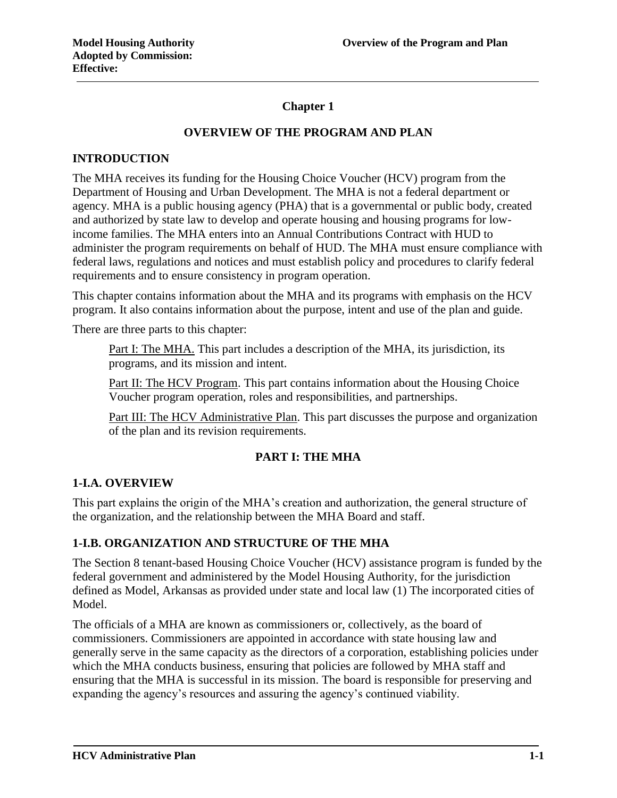# **Chapter 1**

# **OVERVIEW OF THE PROGRAM AND PLAN**

#### **INTRODUCTION**

The MHA receives its funding for the Housing Choice Voucher (HCV) program from the Department of Housing and Urban Development. The MHA is not a federal department or agency. MHA is a public housing agency (PHA) that is a governmental or public body, created and authorized by state law to develop and operate housing and housing programs for lowincome families. The MHA enters into an Annual Contributions Contract with HUD to administer the program requirements on behalf of HUD. The MHA must ensure compliance with federal laws, regulations and notices and must establish policy and procedures to clarify federal requirements and to ensure consistency in program operation.

This chapter contains information about the MHA and its programs with emphasis on the HCV program. It also contains information about the purpose, intent and use of the plan and guide.

There are three parts to this chapter:

Part I: The MHA. This part includes a description of the MHA, its jurisdiction, its programs, and its mission and intent.

Part II: The HCV Program. This part contains information about the Housing Choice Voucher program operation, roles and responsibilities, and partnerships.

Part III: The HCV Administrative Plan. This part discusses the purpose and organization of the plan and its revision requirements.

## **PART I: THE MHA**

#### **1-I.A. OVERVIEW**

This part explains the origin of the MHA's creation and authorization, the general structure of the organization, and the relationship between the MHA Board and staff.

## **1-I.B. ORGANIZATION AND STRUCTURE OF THE MHA**

The Section 8 tenant-based Housing Choice Voucher (HCV) assistance program is funded by the federal government and administered by the Model Housing Authority, for the jurisdiction defined as Model, Arkansas as provided under state and local law (1) The incorporated cities of Model.

The officials of a MHA are known as commissioners or, collectively, as the board of commissioners. Commissioners are appointed in accordance with state housing law and generally serve in the same capacity as the directors of a corporation, establishing policies under which the MHA conducts business, ensuring that policies are followed by MHA staff and ensuring that the MHA is successful in its mission. The board is responsible for preserving and expanding the agency's resources and assuring the agency's continued viability.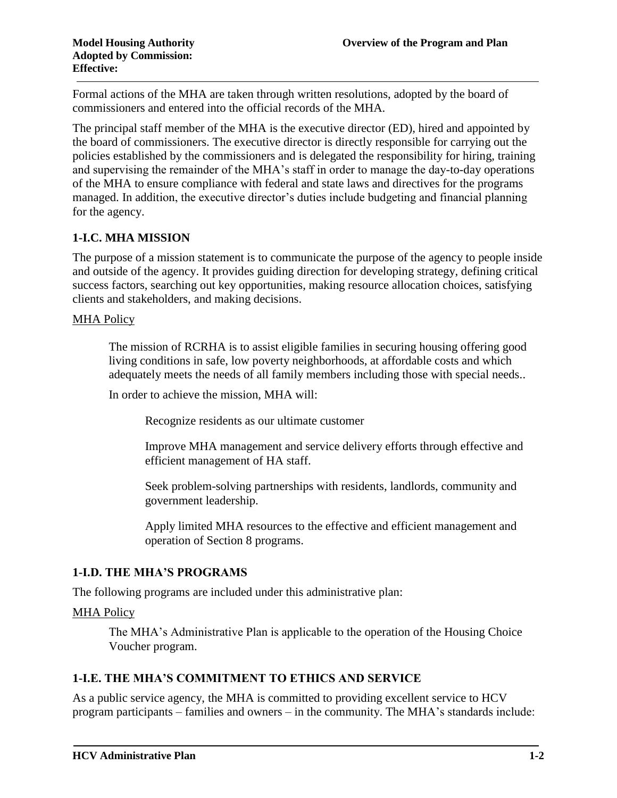Formal actions of the MHA are taken through written resolutions, adopted by the board of commissioners and entered into the official records of the MHA.

The principal staff member of the MHA is the executive director (ED), hired and appointed by the board of commissioners. The executive director is directly responsible for carrying out the policies established by the commissioners and is delegated the responsibility for hiring, training and supervising the remainder of the MHA's staff in order to manage the day-to-day operations of the MHA to ensure compliance with federal and state laws and directives for the programs managed. In addition, the executive director's duties include budgeting and financial planning for the agency.

# **1-I.C. MHA MISSION**

The purpose of a mission statement is to communicate the purpose of the agency to people inside and outside of the agency. It provides guiding direction for developing strategy, defining critical success factors, searching out key opportunities, making resource allocation choices, satisfying clients and stakeholders, and making decisions.

#### MHA Policy

The mission of RCRHA is to assist eligible families in securing housing offering good living conditions in safe, low poverty neighborhoods, at affordable costs and which adequately meets the needs of all family members including those with special needs..

In order to achieve the mission, MHA will:

Recognize residents as our ultimate customer

Improve MHA management and service delivery efforts through effective and efficient management of HA staff.

Seek problem-solving partnerships with residents, landlords, community and government leadership.

Apply limited MHA resources to the effective and efficient management and operation of Section 8 programs.

## **1-I.D. THE MHA'S PROGRAMS**

The following programs are included under this administrative plan:

#### MHA Policy

The MHA's Administrative Plan is applicable to the operation of the Housing Choice Voucher program.

#### **1-I.E. THE MHA'S COMMITMENT TO ETHICS AND SERVICE**

As a public service agency, the MHA is committed to providing excellent service to HCV program participants – families and owners – in the community. The MHA's standards include: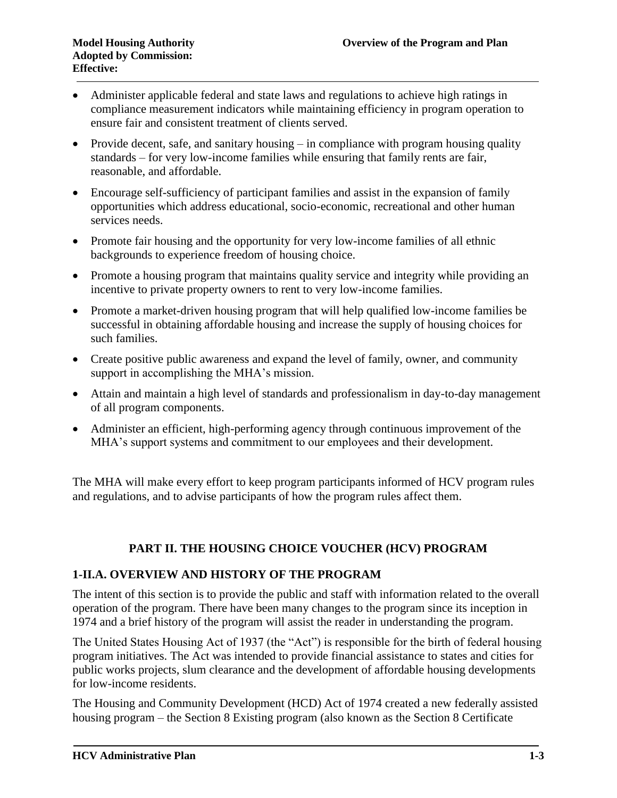- Administer applicable federal and state laws and regulations to achieve high ratings in compliance measurement indicators while maintaining efficiency in program operation to ensure fair and consistent treatment of clients served.
- Provide decent, safe, and sanitary housing in compliance with program housing quality standards – for very low-income families while ensuring that family rents are fair, reasonable, and affordable.
- Encourage self-sufficiency of participant families and assist in the expansion of family opportunities which address educational, socio-economic, recreational and other human services needs.
- Promote fair housing and the opportunity for very low-income families of all ethnic backgrounds to experience freedom of housing choice.
- Promote a housing program that maintains quality service and integrity while providing an incentive to private property owners to rent to very low-income families.
- Promote a market-driven housing program that will help qualified low-income families be successful in obtaining affordable housing and increase the supply of housing choices for such families.
- Create positive public awareness and expand the level of family, owner, and community support in accomplishing the MHA's mission.
- Attain and maintain a high level of standards and professionalism in day-to-day management of all program components.
- Administer an efficient, high-performing agency through continuous improvement of the MHA's support systems and commitment to our employees and their development.

The MHA will make every effort to keep program participants informed of HCV program rules and regulations, and to advise participants of how the program rules affect them.

# **PART II. THE HOUSING CHOICE VOUCHER (HCV) PROGRAM**

## **1-II.A. OVERVIEW AND HISTORY OF THE PROGRAM**

The intent of this section is to provide the public and staff with information related to the overall operation of the program. There have been many changes to the program since its inception in 1974 and a brief history of the program will assist the reader in understanding the program.

The United States Housing Act of 1937 (the "Act") is responsible for the birth of federal housing program initiatives. The Act was intended to provide financial assistance to states and cities for public works projects, slum clearance and the development of affordable housing developments for low-income residents.

The Housing and Community Development (HCD) Act of 1974 created a new federally assisted housing program – the Section 8 Existing program (also known as the Section 8 Certificate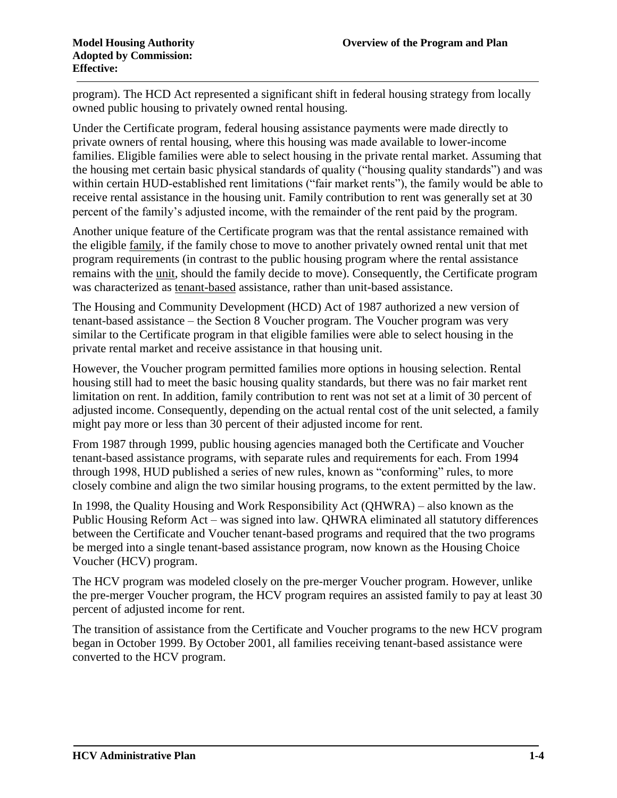program). The HCD Act represented a significant shift in federal housing strategy from locally owned public housing to privately owned rental housing.

Under the Certificate program, federal housing assistance payments were made directly to private owners of rental housing, where this housing was made available to lower-income families. Eligible families were able to select housing in the private rental market. Assuming that the housing met certain basic physical standards of quality ("housing quality standards") and was within certain HUD-established rent limitations ("fair market rents"), the family would be able to receive rental assistance in the housing unit. Family contribution to rent was generally set at 30 percent of the family's adjusted income, with the remainder of the rent paid by the program.

Another unique feature of the Certificate program was that the rental assistance remained with the eligible family, if the family chose to move to another privately owned rental unit that met program requirements (in contrast to the public housing program where the rental assistance remains with the unit, should the family decide to move). Consequently, the Certificate program was characterized as tenant-based assistance, rather than unit-based assistance.

The Housing and Community Development (HCD) Act of 1987 authorized a new version of tenant-based assistance – the Section 8 Voucher program. The Voucher program was very similar to the Certificate program in that eligible families were able to select housing in the private rental market and receive assistance in that housing unit.

However, the Voucher program permitted families more options in housing selection. Rental housing still had to meet the basic housing quality standards, but there was no fair market rent limitation on rent. In addition, family contribution to rent was not set at a limit of 30 percent of adjusted income. Consequently, depending on the actual rental cost of the unit selected, a family might pay more or less than 30 percent of their adjusted income for rent.

From 1987 through 1999, public housing agencies managed both the Certificate and Voucher tenant-based assistance programs, with separate rules and requirements for each. From 1994 through 1998, HUD published a series of new rules, known as "conforming" rules, to more closely combine and align the two similar housing programs, to the extent permitted by the law.

In 1998, the Quality Housing and Work Responsibility Act (QHWRA) – also known as the Public Housing Reform Act – was signed into law. QHWRA eliminated all statutory differences between the Certificate and Voucher tenant-based programs and required that the two programs be merged into a single tenant-based assistance program, now known as the Housing Choice Voucher (HCV) program.

The HCV program was modeled closely on the pre-merger Voucher program. However, unlike the pre-merger Voucher program, the HCV program requires an assisted family to pay at least 30 percent of adjusted income for rent.

The transition of assistance from the Certificate and Voucher programs to the new HCV program began in October 1999. By October 2001, all families receiving tenant-based assistance were converted to the HCV program.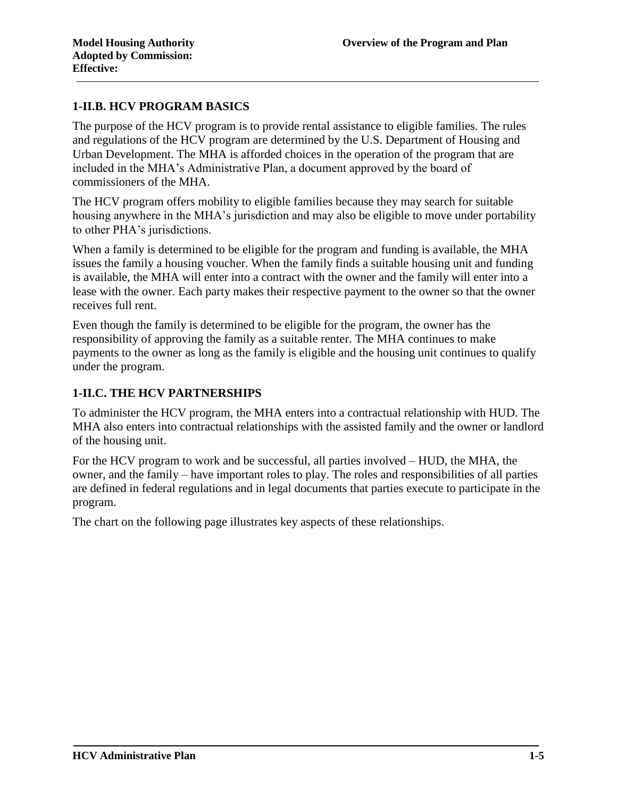## **1-II.B. HCV PROGRAM BASICS**

The purpose of the HCV program is to provide rental assistance to eligible families. The rules and regulations of the HCV program are determined by the U.S. Department of Housing and Urban Development. The MHA is afforded choices in the operation of the program that are included in the MHA's Administrative Plan, a document approved by the board of commissioners of the MHA.

The HCV program offers mobility to eligible families because they may search for suitable housing anywhere in the MHA's jurisdiction and may also be eligible to move under portability to other PHA's jurisdictions.

When a family is determined to be eligible for the program and funding is available, the MHA issues the family a housing voucher. When the family finds a suitable housing unit and funding is available, the MHA will enter into a contract with the owner and the family will enter into a lease with the owner. Each party makes their respective payment to the owner so that the owner receives full rent.

Even though the family is determined to be eligible for the program, the owner has the responsibility of approving the family as a suitable renter. The MHA continues to make payments to the owner as long as the family is eligible and the housing unit continues to qualify under the program.

## **1-II.C. THE HCV PARTNERSHIPS**

To administer the HCV program, the MHA enters into a contractual relationship with HUD. The MHA also enters into contractual relationships with the assisted family and the owner or landlord of the housing unit.

For the HCV program to work and be successful, all parties involved – HUD, the MHA, the owner, and the family – have important roles to play. The roles and responsibilities of all parties are defined in federal regulations and in legal documents that parties execute to participate in the program.

The chart on the following page illustrates key aspects of these relationships.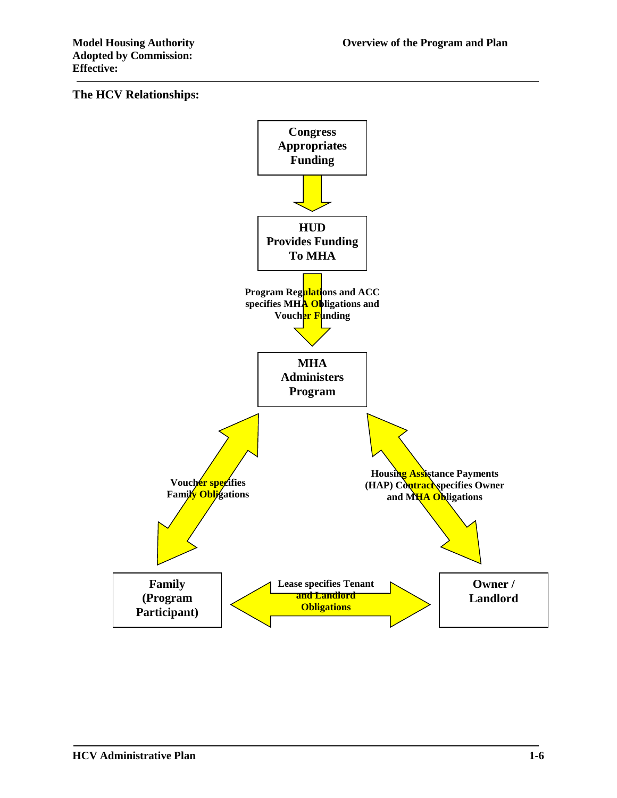#### **The HCV Relationships:**

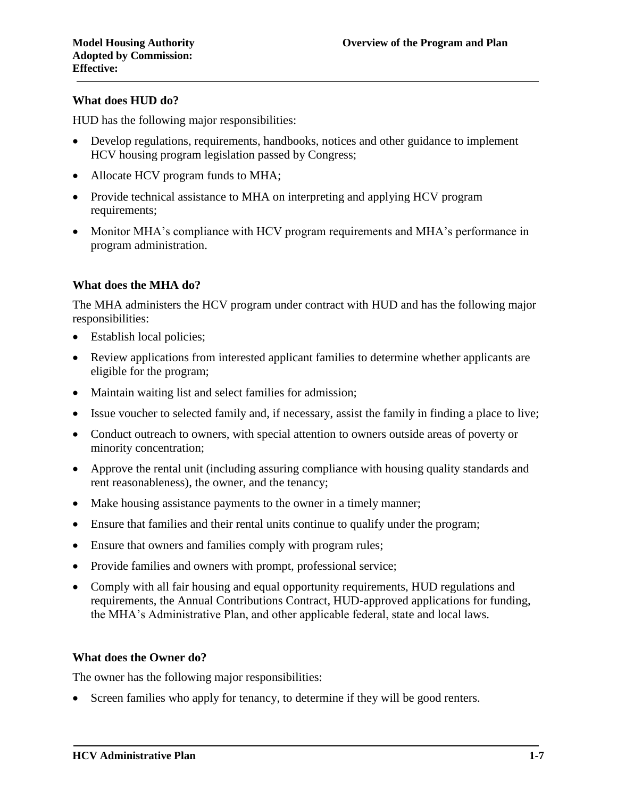#### **What does HUD do?**

HUD has the following major responsibilities:

- Develop regulations, requirements, handbooks, notices and other guidance to implement HCV housing program legislation passed by Congress;
- Allocate HCV program funds to MHA;
- Provide technical assistance to MHA on interpreting and applying HCV program requirements;
- Monitor MHA's compliance with HCV program requirements and MHA's performance in program administration.

#### **What does the MHA do?**

The MHA administers the HCV program under contract with HUD and has the following major responsibilities:

- Establish local policies;
- Review applications from interested applicant families to determine whether applicants are eligible for the program;
- Maintain waiting list and select families for admission;
- Issue voucher to selected family and, if necessary, assist the family in finding a place to live;
- Conduct outreach to owners, with special attention to owners outside areas of poverty or minority concentration;
- Approve the rental unit (including assuring compliance with housing quality standards and rent reasonableness), the owner, and the tenancy;
- Make housing assistance payments to the owner in a timely manner;
- Ensure that families and their rental units continue to qualify under the program;
- Ensure that owners and families comply with program rules;
- Provide families and owners with prompt, professional service;
- Comply with all fair housing and equal opportunity requirements, HUD regulations and requirements, the Annual Contributions Contract, HUD-approved applications for funding, the MHA's Administrative Plan, and other applicable federal, state and local laws.

#### **What does the Owner do?**

The owner has the following major responsibilities:

Screen families who apply for tenancy, to determine if they will be good renters.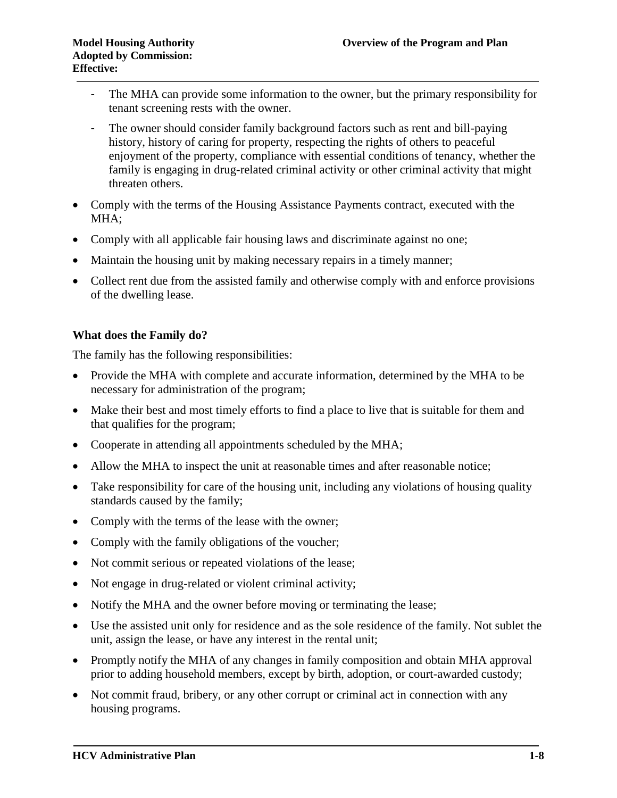- The MHA can provide some information to the owner, but the primary responsibility for tenant screening rests with the owner.
- The owner should consider family background factors such as rent and bill-paying history, history of caring for property, respecting the rights of others to peaceful enjoyment of the property, compliance with essential conditions of tenancy, whether the family is engaging in drug-related criminal activity or other criminal activity that might threaten others.
- Comply with the terms of the Housing Assistance Payments contract, executed with the MHA;
- Comply with all applicable fair housing laws and discriminate against no one;
- Maintain the housing unit by making necessary repairs in a timely manner;
- Collect rent due from the assisted family and otherwise comply with and enforce provisions of the dwelling lease.

## **What does the Family do?**

The family has the following responsibilities:

- Provide the MHA with complete and accurate information, determined by the MHA to be necessary for administration of the program;
- Make their best and most timely efforts to find a place to live that is suitable for them and that qualifies for the program;
- Cooperate in attending all appointments scheduled by the MHA;
- Allow the MHA to inspect the unit at reasonable times and after reasonable notice;
- Take responsibility for care of the housing unit, including any violations of housing quality standards caused by the family;
- Comply with the terms of the lease with the owner;
- Comply with the family obligations of the voucher;
- Not commit serious or repeated violations of the lease;
- Not engage in drug-related or violent criminal activity;
- Notify the MHA and the owner before moving or terminating the lease;
- Use the assisted unit only for residence and as the sole residence of the family. Not sublet the unit, assign the lease, or have any interest in the rental unit;
- Promptly notify the MHA of any changes in family composition and obtain MHA approval prior to adding household members, except by birth, adoption, or court-awarded custody;
- Not commit fraud, bribery, or any other corrupt or criminal act in connection with any housing programs.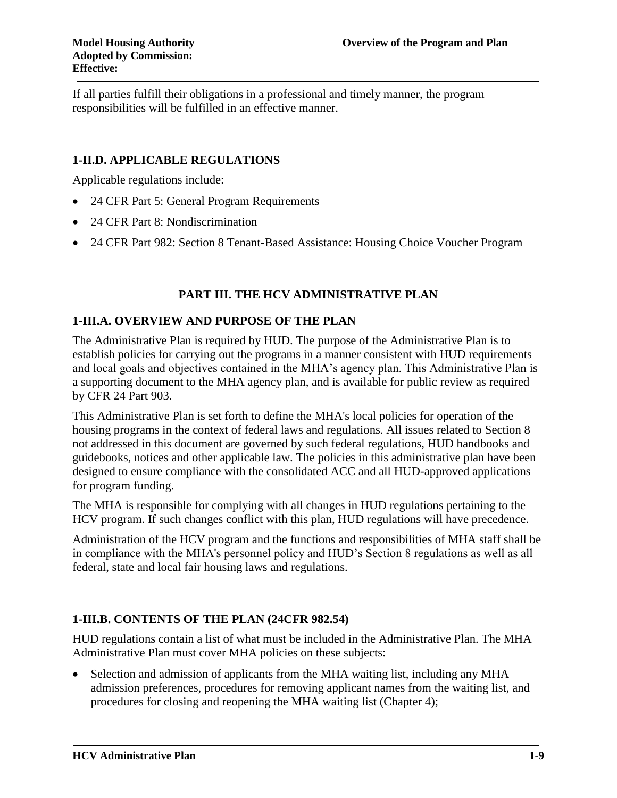If all parties fulfill their obligations in a professional and timely manner, the program responsibilities will be fulfilled in an effective manner.

# **1-II.D. APPLICABLE REGULATIONS**

Applicable regulations include:

- 24 CFR Part 5: General Program Requirements
- 24 CFR Part 8: Nondiscrimination
- 24 CFR Part 982: Section 8 Tenant-Based Assistance: Housing Choice Voucher Program

# **PART III. THE HCV ADMINISTRATIVE PLAN**

## **1-III.A. OVERVIEW AND PURPOSE OF THE PLAN**

The Administrative Plan is required by HUD. The purpose of the Administrative Plan is to establish policies for carrying out the programs in a manner consistent with HUD requirements and local goals and objectives contained in the MHA's agency plan. This Administrative Plan is a supporting document to the MHA agency plan, and is available for public review as required by CFR 24 Part 903.

This Administrative Plan is set forth to define the MHA's local policies for operation of the housing programs in the context of federal laws and regulations. All issues related to Section 8 not addressed in this document are governed by such federal regulations, HUD handbooks and guidebooks, notices and other applicable law. The policies in this administrative plan have been designed to ensure compliance with the consolidated ACC and all HUD-approved applications for program funding.

The MHA is responsible for complying with all changes in HUD regulations pertaining to the HCV program. If such changes conflict with this plan, HUD regulations will have precedence.

Administration of the HCV program and the functions and responsibilities of MHA staff shall be in compliance with the MHA's personnel policy and HUD's Section 8 regulations as well as all federal, state and local fair housing laws and regulations.

## **1-III.B. CONTENTS OF THE PLAN (24CFR 982.54)**

HUD regulations contain a list of what must be included in the Administrative Plan. The MHA Administrative Plan must cover MHA policies on these subjects:

 Selection and admission of applicants from the MHA waiting list, including any MHA admission preferences, procedures for removing applicant names from the waiting list, and procedures for closing and reopening the MHA waiting list (Chapter 4);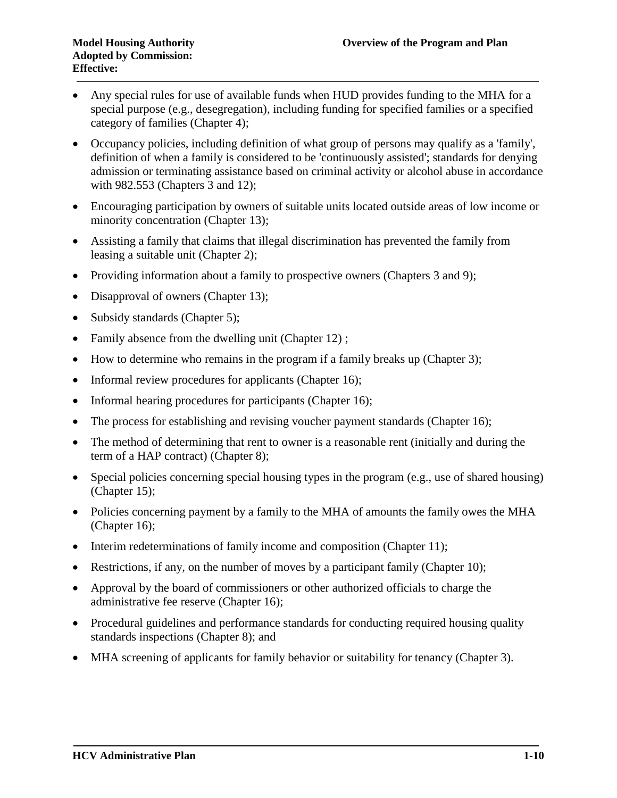- Any special rules for use of available funds when HUD provides funding to the MHA for a special purpose (e.g., desegregation), including funding for specified families or a specified category of families (Chapter 4);
- Occupancy policies, including definition of what group of persons may qualify as a 'family', definition of when a family is considered to be 'continuously assisted'; standards for denying admission or terminating assistance based on criminal activity or alcohol abuse in accordance with 982.553 (Chapters 3 and 12);
- Encouraging participation by owners of suitable units located outside areas of low income or minority concentration (Chapter 13);
- Assisting a family that claims that illegal discrimination has prevented the family from leasing a suitable unit (Chapter 2);
- Providing information about a family to prospective owners (Chapters 3 and 9);
- Disapproval of owners (Chapter 13);
- Subsidy standards (Chapter 5);
- Family absence from the dwelling unit (Chapter 12);
- How to determine who remains in the program if a family breaks up (Chapter 3);
- Informal review procedures for applicants (Chapter 16);
- Informal hearing procedures for participants (Chapter 16);
- The process for establishing and revising voucher payment standards (Chapter 16);
- The method of determining that rent to owner is a reasonable rent (initially and during the term of a HAP contract) (Chapter 8);
- Special policies concerning special housing types in the program (e.g., use of shared housing) (Chapter 15);
- Policies concerning payment by a family to the MHA of amounts the family owes the MHA (Chapter 16);
- $\bullet$  Interim redeterminations of family income and composition (Chapter 11);
- Restrictions, if any, on the number of moves by a participant family (Chapter 10);
- Approval by the board of commissioners or other authorized officials to charge the administrative fee reserve (Chapter 16);
- Procedural guidelines and performance standards for conducting required housing quality standards inspections (Chapter 8); and
- MHA screening of applicants for family behavior or suitability for tenancy (Chapter 3).